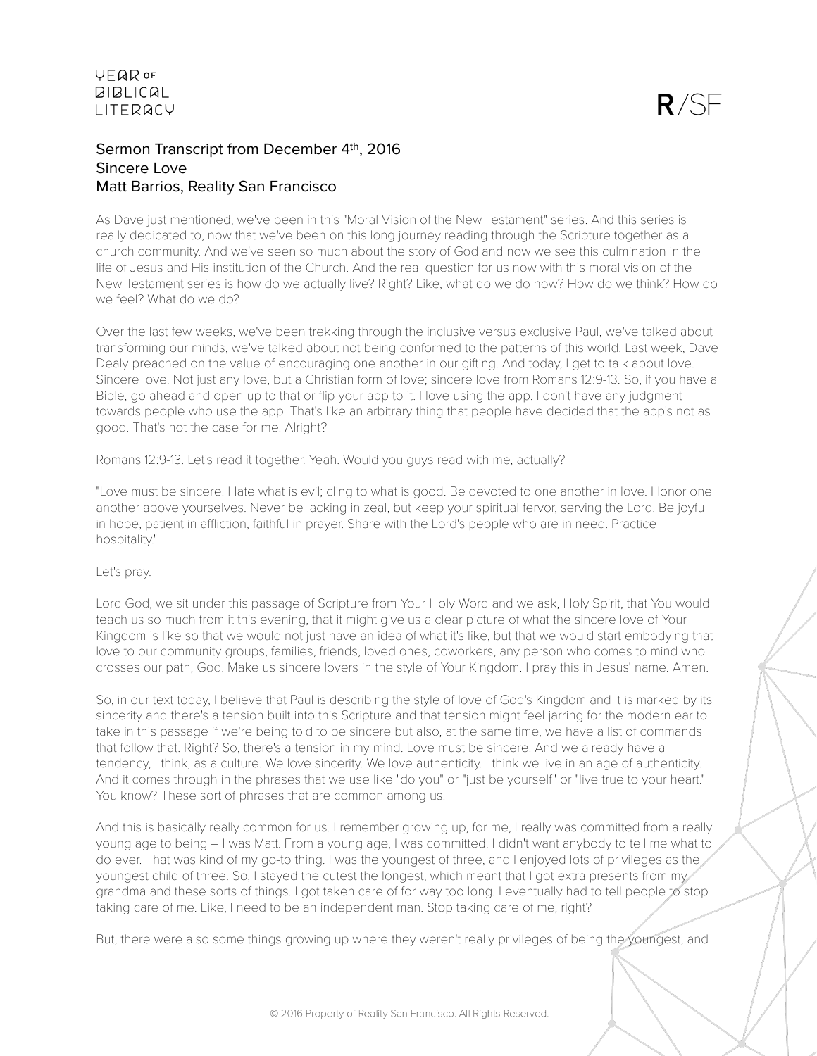# Sermon Transcript from December 4th, 2016 Sincere Love Matt Barrios, Reality San Francisco

As Dave just mentioned, we've been in this "Moral Vision of the New Testament" series. And this series is really dedicated to, now that we've been on this long journey reading through the Scripture together as a church community. And we've seen so much about the story of God and now we see this culmination in the life of Jesus and His institution of the Church. And the real question for us now with this moral vision of the New Testament series is how do we actually live? Right? Like, what do we do now? How do we think? How do we feel? What do we do?

Over the last few weeks, we've been trekking through the inclusive versus exclusive Paul, we've talked about transforming our minds, we've talked about not being conformed to the patterns of this world. Last week, Dave Dealy preached on the value of encouraging one another in our gifting. And today, I get to talk about love. Sincere love. Not just any love, but a Christian form of love; sincere love from Romans 12:9-13. So, if you have a Bible, go ahead and open up to that or flip your app to it. I love using the app. I don't have any judgment towards people who use the app. That's like an arbitrary thing that people have decided that the app's not as good. That's not the case for me. Alright?

Romans 12:9-13. Let's read it together. Yeah. Would you guys read with me, actually?

"Love must be sincere. Hate what is evil; cling to what is good. Be devoted to one another in love. Honor one another above yourselves. Never be lacking in zeal, but keep your spiritual fervor, serving the Lord. Be joyful in hope, patient in affliction, faithful in prayer. Share with the Lord's people who are in need. Practice hospitality."

#### Let's pray.

Lord God, we sit under this passage of Scripture from Your Holy Word and we ask, Holy Spirit, that You would teach us so much from it this evening, that it might give us a clear picture of what the sincere love of Your Kingdom is like so that we would not just have an idea of what it's like, but that we would start embodying that love to our community groups, families, friends, loved ones, coworkers, any person who comes to mind who crosses our path, God. Make us sincere lovers in the style of Your Kingdom. I pray this in Jesus' name. Amen.

So, in our text today, I believe that Paul is describing the style of love of God's Kingdom and it is marked by its sincerity and there's a tension built into this Scripture and that tension might feel jarring for the modern ear to take in this passage if we're being told to be sincere but also, at the same time, we have a list of commands that follow that. Right? So, there's a tension in my mind. Love must be sincere. And we already have a tendency, I think, as a culture. We love sincerity. We love authenticity. I think we live in an age of authenticity. And it comes through in the phrases that we use like "do you" or "just be yourself" or "live true to your heart." You know? These sort of phrases that are common among us.

And this is basically really common for us. I remember growing up, for me, I really was committed from a really young age to being – I was Matt. From a young age, I was committed. I didn't want anybody to tell me what to do ever. That was kind of my go-to thing. I was the youngest of three, and I enjoyed lots of privileges as the youngest child of three. So, I stayed the cutest the longest, which meant that I got extra presents from my grandma and these sorts of things. I got taken care of for way too long. I eventually had to tell people to stop taking care of me. Like, I need to be an independent man. Stop taking care of me, right?

But, there were also some things growing up where they weren't really privileges of being the youngest, and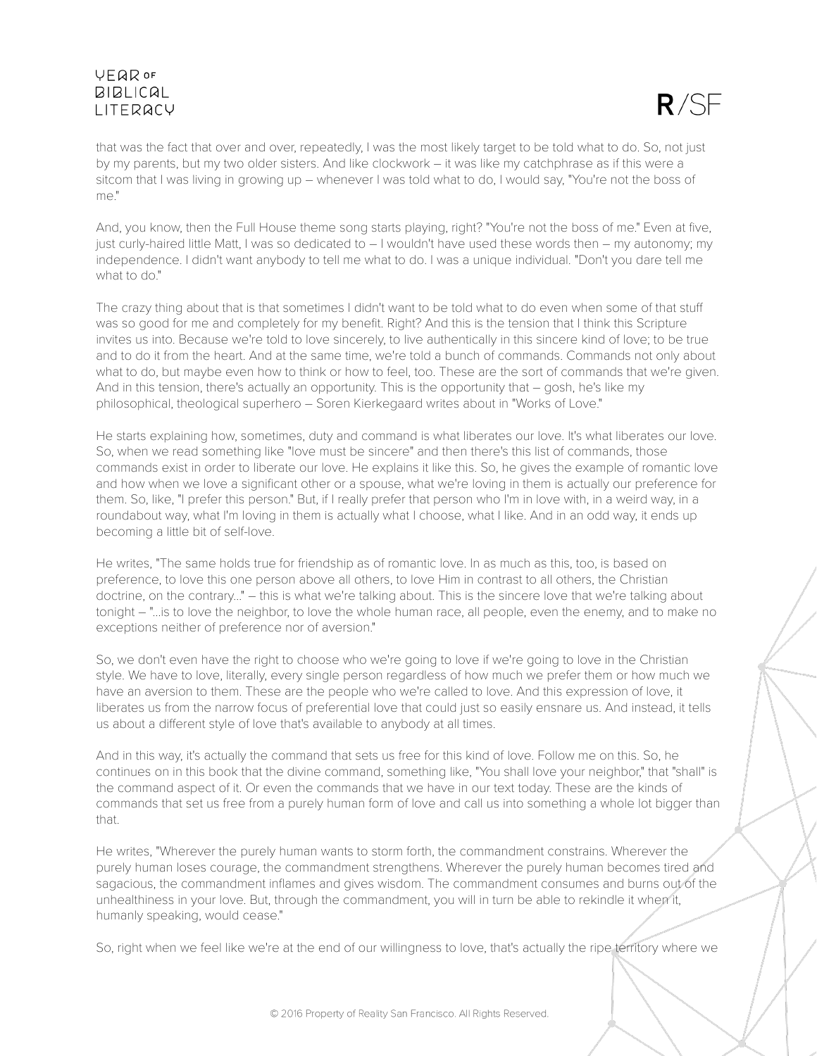

that was the fact that over and over, repeatedly, I was the most likely target to be told what to do. So, not just by my parents, but my two older sisters. And like clockwork – it was like my catchphrase as if this were a sitcom that I was living in growing up – whenever I was told what to do, I would say, "You're not the boss of me."

And, you know, then the Full House theme song starts playing, right? "You're not the boss of me." Even at five, just curly-haired little Matt, I was so dedicated to – I wouldn't have used these words then – my autonomy; my independence. I didn't want anybody to tell me what to do. I was a unique individual. "Don't you dare tell me what to do"

The crazy thing about that is that sometimes I didn't want to be told what to do even when some of that stuff was so good for me and completely for my benefit. Right? And this is the tension that I think this Scripture invites us into. Because we're told to love sincerely, to live authentically in this sincere kind of love; to be true and to do it from the heart. And at the same time, we're told a bunch of commands. Commands not only about what to do, but maybe even how to think or how to feel, too. These are the sort of commands that we're given. And in this tension, there's actually an opportunity. This is the opportunity that – gosh, he's like my philosophical, theological superhero – Soren Kierkegaard writes about in "Works of Love."

He starts explaining how, sometimes, duty and command is what liberates our love. It's what liberates our love. So, when we read something like "love must be sincere" and then there's this list of commands, those commands exist in order to liberate our love. He explains it like this. So, he gives the example of romantic love and how when we love a significant other or a spouse, what we're loving in them is actually our preference for them. So, like, "I prefer this person." But, if I really prefer that person who I'm in love with, in a weird way, in a roundabout way, what I'm loving in them is actually what I choose, what I like. And in an odd way, it ends up becoming a little bit of self-love.

He writes, "The same holds true for friendship as of romantic love. In as much as this, too, is based on preference, to love this one person above all others, to love Him in contrast to all others, the Christian doctrine, on the contrary..." – this is what we're talking about. This is the sincere love that we're talking about tonight – "...is to love the neighbor, to love the whole human race, all people, even the enemy, and to make no exceptions neither of preference nor of aversion."

So, we don't even have the right to choose who we're going to love if we're going to love in the Christian style. We have to love, literally, every single person regardless of how much we prefer them or how much we have an aversion to them. These are the people who we're called to love. And this expression of love, it liberates us from the narrow focus of preferential love that could just so easily ensnare us. And instead, it tells us about a different style of love that's available to anybody at all times.

And in this way, it's actually the command that sets us free for this kind of love. Follow me on this. So, he continues on in this book that the divine command, something like, "You shall love your neighbor," that "shall" is the command aspect of it. Or even the commands that we have in our text today. These are the kinds of commands that set us free from a purely human form of love and call us into something a whole lot bigger than that.

He writes, "Wherever the purely human wants to storm forth, the commandment constrains. Wherever the purely human loses courage, the commandment strengthens. Wherever the purely human becomes tired and sagacious, the commandment inflames and gives wisdom. The commandment consumes and burns out of the unhealthiness in your love. But, through the commandment, you will in turn be able to rekindle it when it, humanly speaking, would cease."

So, right when we feel like we're at the end of our willingness to love, that's actually the ripe territory where we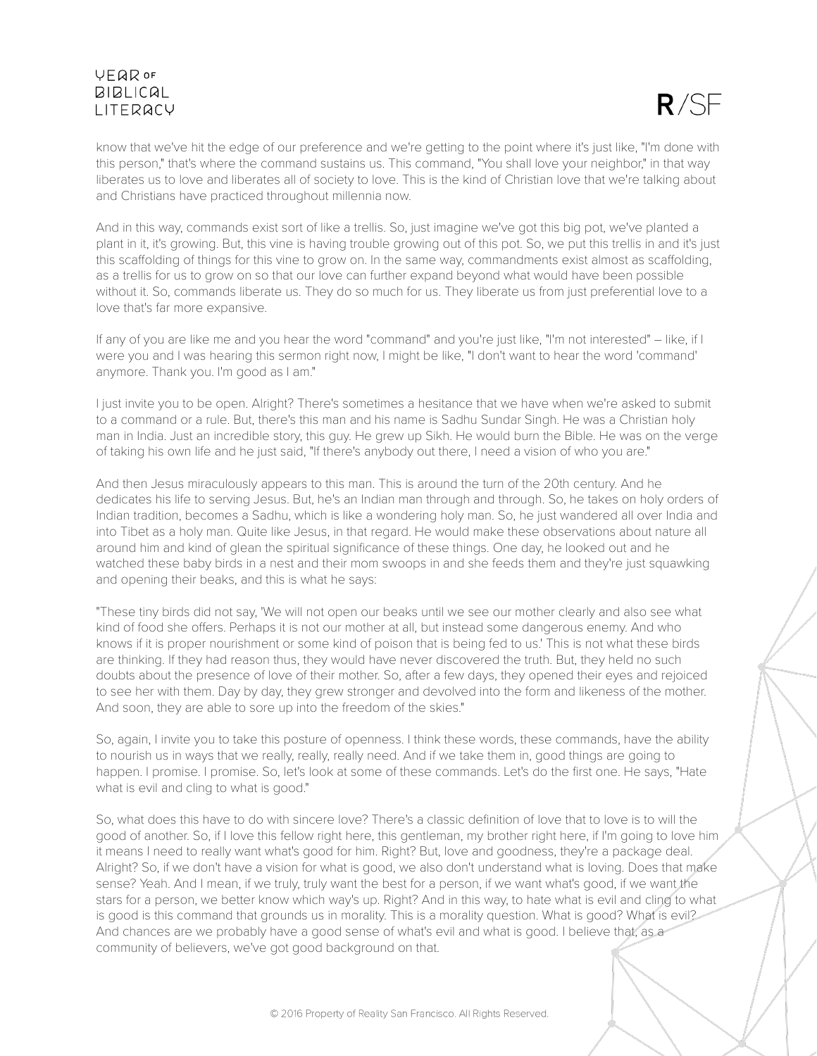

know that we've hit the edge of our preference and we're getting to the point where it's just like, "I'm done with this person," that's where the command sustains us. This command, "You shall love your neighbor," in that way liberates us to love and liberates all of society to love. This is the kind of Christian love that we're talking about and Christians have practiced throughout millennia now.

And in this way, commands exist sort of like a trellis. So, just imagine we've got this big pot, we've planted a plant in it, it's growing. But, this vine is having trouble growing out of this pot. So, we put this trellis in and it's just this scaffolding of things for this vine to grow on. In the same way, commandments exist almost as scaffolding, as a trellis for us to grow on so that our love can further expand beyond what would have been possible without it. So, commands liberate us. They do so much for us. They liberate us from just preferential love to a love that's far more expansive.

If any of you are like me and you hear the word "command" and you're just like, "I'm not interested" – like, if I were you and I was hearing this sermon right now, I might be like, "I don't want to hear the word 'command' anymore. Thank you. I'm good as I am."

I just invite you to be open. Alright? There's sometimes a hesitance that we have when we're asked to submit to a command or a rule. But, there's this man and his name is Sadhu Sundar Singh. He was a Christian holy man in India. Just an incredible story, this guy. He grew up Sikh. He would burn the Bible. He was on the verge of taking his own life and he just said, "If there's anybody out there, I need a vision of who you are."

And then Jesus miraculously appears to this man. This is around the turn of the 20th century. And he dedicates his life to serving Jesus. But, he's an Indian man through and through. So, he takes on holy orders of Indian tradition, becomes a Sadhu, which is like a wondering holy man. So, he just wandered all over India and into Tibet as a holy man. Quite like Jesus, in that regard. He would make these observations about nature all around him and kind of glean the spiritual significance of these things. One day, he looked out and he watched these baby birds in a nest and their mom swoops in and she feeds them and they're just squawking and opening their beaks, and this is what he says:

"These tiny birds did not say, 'We will not open our beaks until we see our mother clearly and also see what kind of food she offers. Perhaps it is not our mother at all, but instead some dangerous enemy. And who knows if it is proper nourishment or some kind of poison that is being fed to us.' This is not what these birds are thinking. If they had reason thus, they would have never discovered the truth. But, they held no such doubts about the presence of love of their mother. So, after a few days, they opened their eyes and rejoiced to see her with them. Day by day, they grew stronger and devolved into the form and likeness of the mother. And soon, they are able to sore up into the freedom of the skies."

So, again, I invite you to take this posture of openness. I think these words, these commands, have the ability to nourish us in ways that we really, really, really need. And if we take them in, good things are going to happen. I promise. I promise. So, let's look at some of these commands. Let's do the first one. He says, "Hate what is evil and cling to what is good."

So, what does this have to do with sincere love? There's a classic definition of love that to love is to will the good of another. So, if I love this fellow right here, this gentleman, my brother right here, if I'm going to love him it means I need to really want what's good for him. Right? But, love and goodness, they're a package deal. Alright? So, if we don't have a vision for what is good, we also don't understand what is loving. Does that make sense? Yeah. And I mean, if we truly, truly want the best for a person, if we want what's good, if we want the stars for a person, we better know which way's up. Right? And in this way, to hate what is evil and cling to what is good is this command that grounds us in morality. This is a morality question. What is good? What is evil? And chances are we probably have a good sense of what's evil and what is good. I believe that, as a community of believers, we've got good background on that.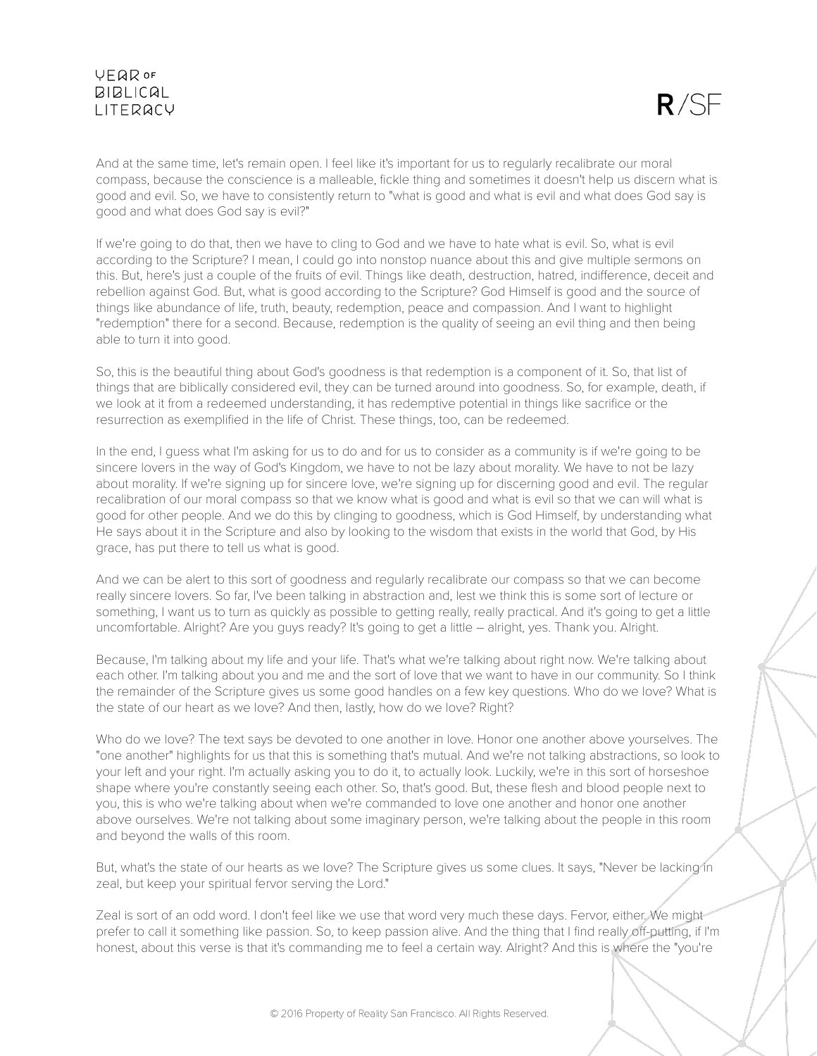

And at the same time, let's remain open. I feel like it's important for us to regularly recalibrate our moral compass, because the conscience is a malleable, fickle thing and sometimes it doesn't help us discern what is good and evil. So, we have to consistently return to "what is good and what is evil and what does God say is good and what does God say is evil?"

If we're going to do that, then we have to cling to God and we have to hate what is evil. So, what is evil according to the Scripture? I mean, I could go into nonstop nuance about this and give multiple sermons on this. But, here's just a couple of the fruits of evil. Things like death, destruction, hatred, indifference, deceit and rebellion against God. But, what is good according to the Scripture? God Himself is good and the source of things like abundance of life, truth, beauty, redemption, peace and compassion. And I want to highlight "redemption" there for a second. Because, redemption is the quality of seeing an evil thing and then being able to turn it into good.

So, this is the beautiful thing about God's goodness is that redemption is a component of it. So, that list of things that are biblically considered evil, they can be turned around into goodness. So, for example, death, if we look at it from a redeemed understanding, it has redemptive potential in things like sacrifice or the resurrection as exemplified in the life of Christ. These things, too, can be redeemed.

In the end, I guess what I'm asking for us to do and for us to consider as a community is if we're going to be sincere lovers in the way of God's Kingdom, we have to not be lazy about morality. We have to not be lazy about morality. If we're signing up for sincere love, we're signing up for discerning good and evil. The regular recalibration of our moral compass so that we know what is good and what is evil so that we can will what is good for other people. And we do this by clinging to goodness, which is God Himself, by understanding what He says about it in the Scripture and also by looking to the wisdom that exists in the world that God, by His grace, has put there to tell us what is good.

And we can be alert to this sort of goodness and regularly recalibrate our compass so that we can become really sincere lovers. So far, I've been talking in abstraction and, lest we think this is some sort of lecture or something, I want us to turn as quickly as possible to getting really, really practical. And it's going to get a little uncomfortable. Alright? Are you guys ready? It's going to get a little – alright, yes. Thank you. Alright.

Because, I'm talking about my life and your life. That's what we're talking about right now. We're talking about each other. I'm talking about you and me and the sort of love that we want to have in our community. So I think the remainder of the Scripture gives us some good handles on a few key questions. Who do we love? What is the state of our heart as we love? And then, lastly, how do we love? Right?

Who do we love? The text says be devoted to one another in love. Honor one another above yourselves. The "one another" highlights for us that this is something that's mutual. And we're not talking abstractions, so look to your left and your right. I'm actually asking you to do it, to actually look. Luckily, we're in this sort of horseshoe shape where you're constantly seeing each other. So, that's good. But, these flesh and blood people next to you, this is who we're talking about when we're commanded to love one another and honor one another above ourselves. We're not talking about some imaginary person, we're talking about the people in this room and beyond the walls of this room.

But, what's the state of our hearts as we love? The Scripture gives us some clues. It says, "Never be lacking in zeal, but keep your spiritual fervor serving the Lord."

Zeal is sort of an odd word. I don't feel like we use that word very much these days. Fervor, either. We might prefer to call it something like passion. So, to keep passion alive. And the thing that I find really off-putting, if I'm honest, about this verse is that it's commanding me to feel a certain way. Alright? And this is where the "you're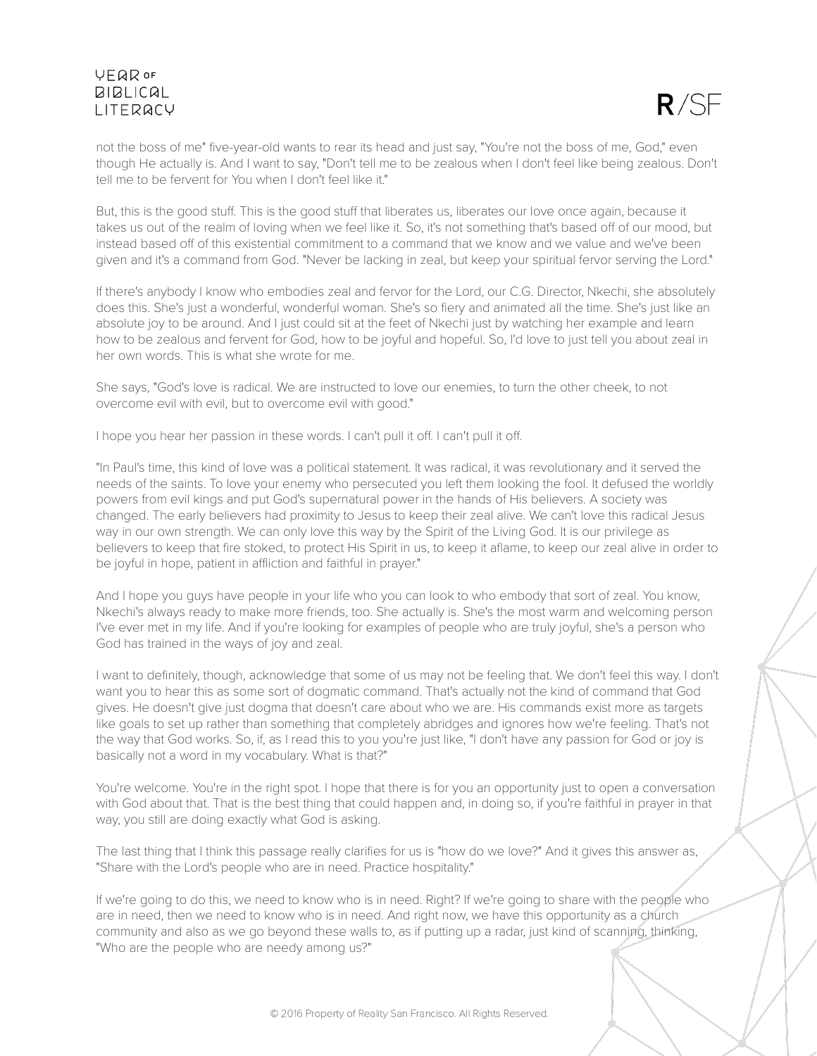

not the boss of me" five-year-old wants to rear its head and just say, "You're not the boss of me, God," even though He actually is. And I want to say, "Don't tell me to be zealous when I don't feel like being zealous. Don't tell me to be fervent for You when I don't feel like it."

But, this is the good stuff. This is the good stuff that liberates us, liberates our love once again, because it takes us out of the realm of loving when we feel like it. So, it's not something that's based off of our mood, but instead based off of this existential commitment to a command that we know and we value and we've been given and it's a command from God. "Never be lacking in zeal, but keep your spiritual fervor serving the Lord."

If there's anybody I know who embodies zeal and fervor for the Lord, our C.G. Director, Nkechi, she absolutely does this. She's just a wonderful, wonderful woman. She's so fiery and animated all the time. She's just like an absolute joy to be around. And I just could sit at the feet of Nkechi just by watching her example and learn how to be zealous and fervent for God, how to be joyful and hopeful. So, I'd love to just tell you about zeal in her own words. This is what she wrote for me.

She says, "God's love is radical. We are instructed to love our enemies, to turn the other cheek, to not overcome evil with evil, but to overcome evil with good."

I hope you hear her passion in these words. I can't pull it off. I can't pull it off.

"In Paul's time, this kind of love was a political statement. It was radical, it was revolutionary and it served the needs of the saints. To love your enemy who persecuted you left them looking the fool. It defused the worldly powers from evil kings and put God's supernatural power in the hands of His believers. A society was changed. The early believers had proximity to Jesus to keep their zeal alive. We can't love this radical Jesus way in our own strength. We can only love this way by the Spirit of the Living God. It is our privilege as believers to keep that fire stoked, to protect His Spirit in us, to keep it aflame, to keep our zeal alive in order to be joyful in hope, patient in affliction and faithful in prayer."

And I hope you guys have people in your life who you can look to who embody that sort of zeal. You know, Nkechi's always ready to make more friends, too. She actually is. She's the most warm and welcoming person I've ever met in my life. And if you're looking for examples of people who are truly joyful, she's a person who God has trained in the ways of joy and zeal.

I want to definitely, though, acknowledge that some of us may not be feeling that. We don't feel this way. I don't want you to hear this as some sort of dogmatic command. That's actually not the kind of command that God gives. He doesn't give just dogma that doesn't care about who we are. His commands exist more as targets like goals to set up rather than something that completely abridges and ignores how we're feeling. That's not the way that God works. So, if, as I read this to you you're just like, "I don't have any passion for God or joy is basically not a word in my vocabulary. What is that?"

You're welcome. You're in the right spot. I hope that there is for you an opportunity just to open a conversation with God about that. That is the best thing that could happen and, in doing so, if you're faithful in prayer in that way, you still are doing exactly what God is asking.

The last thing that I think this passage really clarifies for us is "how do we love?" And it gives this answer as, "Share with the Lord's people who are in need. Practice hospitality."

If we're going to do this, we need to know who is in need. Right? If we're going to share with the people who are in need, then we need to know who is in need. And right now, we have this opportunity as a church community and also as we go beyond these walls to, as if putting up a radar, just kind of scanning, thinking, "Who are the people who are needy among us?"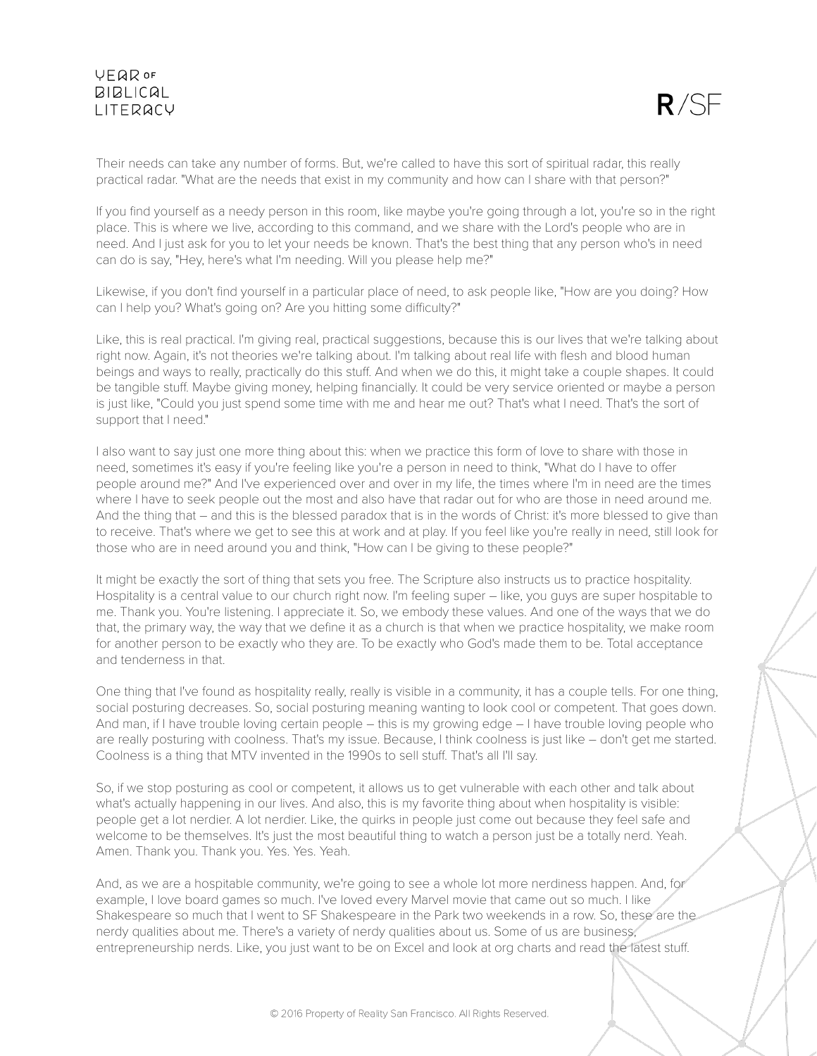

Their needs can take any number of forms. But, we're called to have this sort of spiritual radar, this really practical radar. "What are the needs that exist in my community and how can I share with that person?"

If you find yourself as a needy person in this room, like maybe you're going through a lot, you're so in the right place. This is where we live, according to this command, and we share with the Lord's people who are in need. And I just ask for you to let your needs be known. That's the best thing that any person who's in need can do is say, "Hey, here's what I'm needing. Will you please help me?"

Likewise, if you don't find yourself in a particular place of need, to ask people like, "How are you doing? How can I help you? What's going on? Are you hitting some difficulty?"

Like, this is real practical. I'm giving real, practical suggestions, because this is our lives that we're talking about right now. Again, it's not theories we're talking about. I'm talking about real life with flesh and blood human beings and ways to really, practically do this stuff. And when we do this, it might take a couple shapes. It could be tangible stuff. Maybe giving money, helping financially. It could be very service oriented or maybe a person is just like, "Could you just spend some time with me and hear me out? That's what I need. That's the sort of support that I need."

I also want to say just one more thing about this: when we practice this form of love to share with those in need, sometimes it's easy if you're feeling like you're a person in need to think, "What do I have to offer people around me?" And I've experienced over and over in my life, the times where I'm in need are the times where I have to seek people out the most and also have that radar out for who are those in need around me. And the thing that – and this is the blessed paradox that is in the words of Christ: it's more blessed to give than to receive. That's where we get to see this at work and at play. If you feel like you're really in need, still look for those who are in need around you and think, "How can I be giving to these people?"

It might be exactly the sort of thing that sets you free. The Scripture also instructs us to practice hospitality. Hospitality is a central value to our church right now. I'm feeling super – like, you guys are super hospitable to me. Thank you. You're listening. I appreciate it. So, we embody these values. And one of the ways that we do that, the primary way, the way that we define it as a church is that when we practice hospitality, we make room for another person to be exactly who they are. To be exactly who God's made them to be. Total acceptance and tenderness in that.

One thing that I've found as hospitality really, really is visible in a community, it has a couple tells. For one thing, social posturing decreases. So, social posturing meaning wanting to look cool or competent. That goes down. And man, if I have trouble loving certain people – this is my growing edge – I have trouble loving people who are really posturing with coolness. That's my issue. Because, I think coolness is just like – don't get me started. Coolness is a thing that MTV invented in the 1990s to sell stuff. That's all I'll say.

So, if we stop posturing as cool or competent, it allows us to get vulnerable with each other and talk about what's actually happening in our lives. And also, this is my favorite thing about when hospitality is visible: people get a lot nerdier. A lot nerdier. Like, the quirks in people just come out because they feel safe and welcome to be themselves. It's just the most beautiful thing to watch a person just be a totally nerd. Yeah. Amen. Thank you. Thank you. Yes. Yes. Yeah.

And, as we are a hospitable community, we're going to see a whole lot more nerdiness happen. And, for example, I love board games so much. I've loved every Marvel movie that came out so much. I like Shakespeare so much that I went to SF Shakespeare in the Park two weekends in a row. So, these are the nerdy qualities about me. There's a variety of nerdy qualities about us. Some of us are business, entrepreneurship nerds. Like, you just want to be on Excel and look at org charts and read the latest stuff.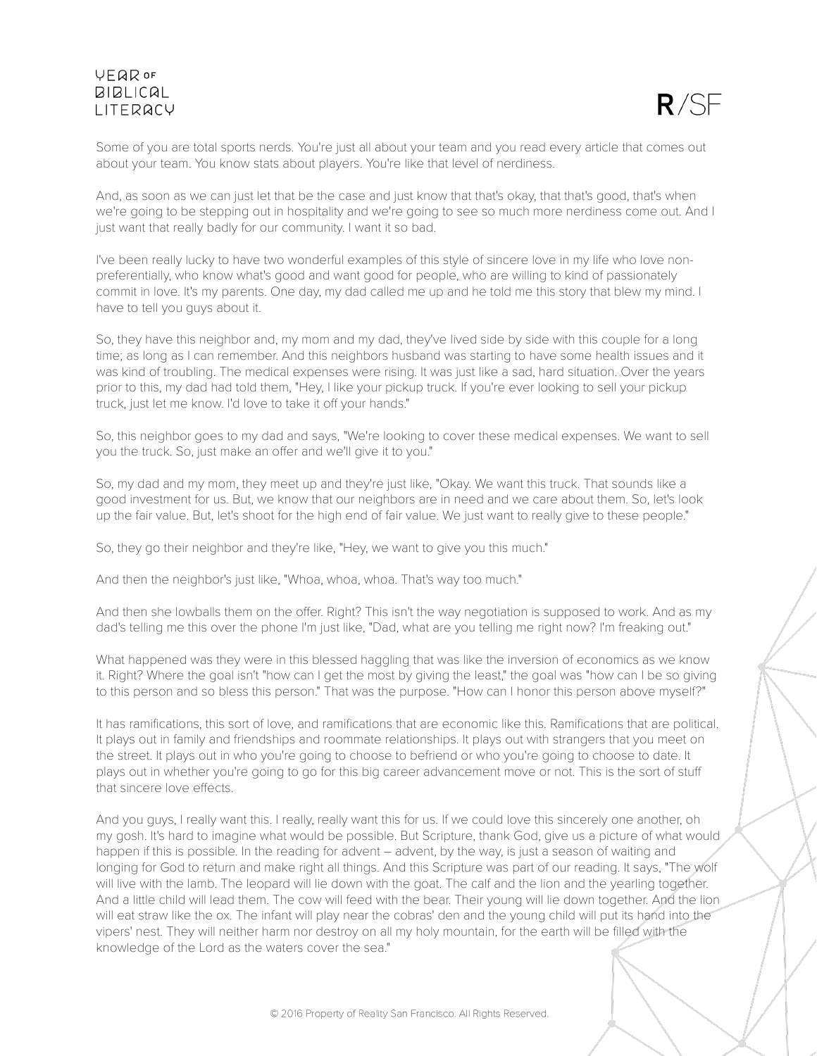

Some of you are total sports nerds. You're just all about your team and you read every article that comes out about your team. You know stats about players. You're like that level of nerdiness.

And, as soon as we can just let that be the case and just know that that's okay, that that's good, that's when we're going to be stepping out in hospitality and we're going to see so much more nerdiness come out. And I just want that really badly for our community. I want it so bad.

I've been really lucky to have two wonderful examples of this style of sincere love in my life who love nonpreferentially, who know what's good and want good for people, who are willing to kind of passionately commit in love. It's my parents. One day, my dad called me up and he told me this story that blew my mind. I have to tell you guys about it.

So, they have this neighbor and, my mom and my dad, they've lived side by side with this couple for a long time; as long as I can remember. And this neighbors husband was starting to have some health issues and it was kind of troubling. The medical expenses were rising. It was just like a sad, hard situation. Over the years prior to this, my dad had told them, "Hey, I like your pickup truck. If you're ever looking to sell your pickup truck, just let me know. I'd love to take it off your hands."

So, this neighbor goes to my dad and says, "We're looking to cover these medical expenses. We want to sell you the truck. So, just make an offer and we'll give it to you."

So, my dad and my mom, they meet up and they're just like, "Okay. We want this truck. That sounds like a good investment for us. But, we know that our neighbors are in need and we care about them. So, let's look up the fair value. But, let's shoot for the high end of fair value. We just want to really give to these people."

So, they go their neighbor and they're like, "Hey, we want to give you this much."

And then the neighbor's just like, "Whoa, whoa, whoa. That's way too much."

And then she lowballs them on the offer. Right? This isn't the way negotiation is supposed to work. And as my dad's telling me this over the phone I'm just like, "Dad, what are you telling me right now? I'm freaking out."

What happened was they were in this blessed haggling that was like the inversion of economics as we know it. Right? Where the goal isn't "how can I get the most by giving the least," the goal was "how can I be so giving to this person and so bless this person." That was the purpose. "How can I honor this person above myself?"

It has ramifications, this sort of love, and ramifications that are economic like this. Ramifications that are political. It plays out in family and friendships and roommate relationships. It plays out with strangers that you meet on the street. It plays out in who you're going to choose to befriend or who you're going to choose to date. It plays out in whether you're going to go for this big career advancement move or not. This is the sort of stuff that sincere love effects.

And you guys, I really want this. I really, really want this for us. If we could love this sincerely one another, oh my gosh. It's hard to imagine what would be possible. But Scripture, thank God, give us a picture of what would happen if this is possible. In the reading for advent – advent, by the way, is just a season of waiting and longing for God to return and make right all things. And this Scripture was part of our reading. It says, "The wolf will live with the lamb. The leopard will lie down with the goat. The calf and the lion and the yearling together. And a little child will lead them. The cow will feed with the bear. Their young will lie down together. And the lion will eat straw like the ox. The infant will play near the cobras' den and the young child will put its hand into the vipers' nest. They will neither harm nor destroy on all my holy mountain, for the earth will be filled with the knowledge of the Lord as the waters cover the sea."